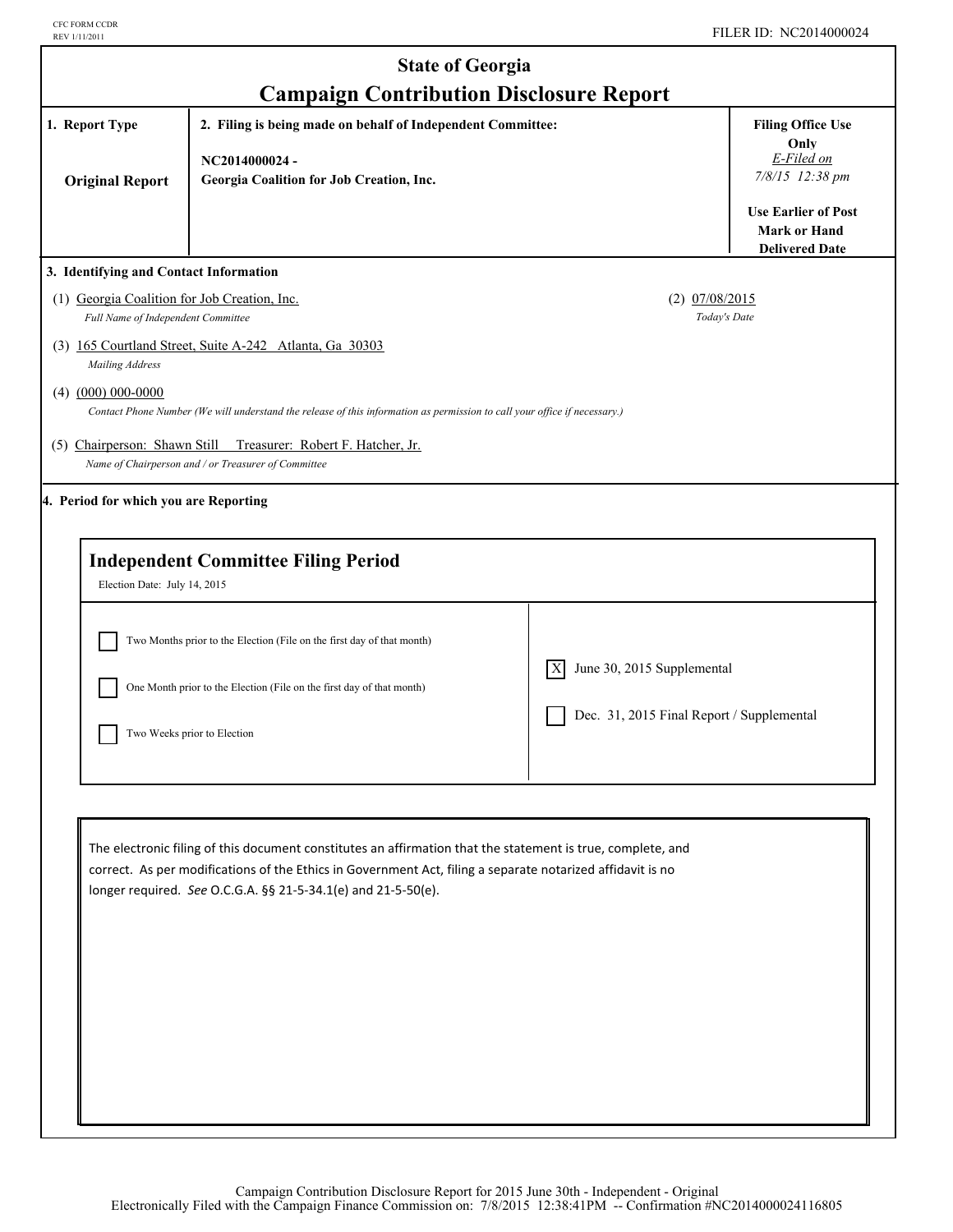I

| <b>State of Georgia</b><br><b>Campaign Contribution Disclosure Report</b>          |                                                                                                                                                                                                                                                                                            |                                                                                |                                                                                                                        |  |
|------------------------------------------------------------------------------------|--------------------------------------------------------------------------------------------------------------------------------------------------------------------------------------------------------------------------------------------------------------------------------------------|--------------------------------------------------------------------------------|------------------------------------------------------------------------------------------------------------------------|--|
| 1. Report Type<br><b>Original Report</b>                                           | 2. Filing is being made on behalf of Independent Committee:<br>NC2014000024-<br>Georgia Coalition for Job Creation, Inc.                                                                                                                                                                   |                                                                                | <b>Filing Office Use</b><br>Only<br>E-Filed on<br>7/8/15 12:38 pm<br><b>Use Earlier of Post</b><br><b>Mark or Hand</b> |  |
| 3. Identifying and Contact Information                                             |                                                                                                                                                                                                                                                                                            |                                                                                | <b>Delivered Date</b>                                                                                                  |  |
| (1) Georgia Coalition for Job Creation, Inc.<br>Full Name of Independent Committee | (3) 165 Courtland Street, Suite A-242 Atlanta, Ga 30303                                                                                                                                                                                                                                    | $(2)$ $07/08/2015$<br>Today's Date                                             |                                                                                                                        |  |
| Mailing Address<br>$(4)$ $(000)$ 000-0000<br>(5) Chairperson: Shawn Still          | Contact Phone Number (We will understand the release of this information as permission to call your office if necessary.)<br>Treasurer: Robert F. Hatcher, Jr.<br>Name of Chairperson and / or Treasurer of Committee                                                                      |                                                                                |                                                                                                                        |  |
| 4. Period for which you are Reporting                                              | <b>Independent Committee Filing Period</b>                                                                                                                                                                                                                                                 |                                                                                |                                                                                                                        |  |
| Election Date: July 14, 2015                                                       | Two Months prior to the Election (File on the first day of that month)<br>One Month prior to the Election (File on the first day of that month)<br>Two Weeks prior to Election                                                                                                             | June 30, 2015 Supplemental<br> X <br>Dec. 31, 2015 Final Report / Supplemental |                                                                                                                        |  |
|                                                                                    | The electronic filing of this document constitutes an affirmation that the statement is true, complete, and<br>correct. As per modifications of the Ethics in Government Act, filing a separate notarized affidavit is no<br>longer required. See O.C.G.A. §§ 21-5-34.1(e) and 21-5-50(e). |                                                                                |                                                                                                                        |  |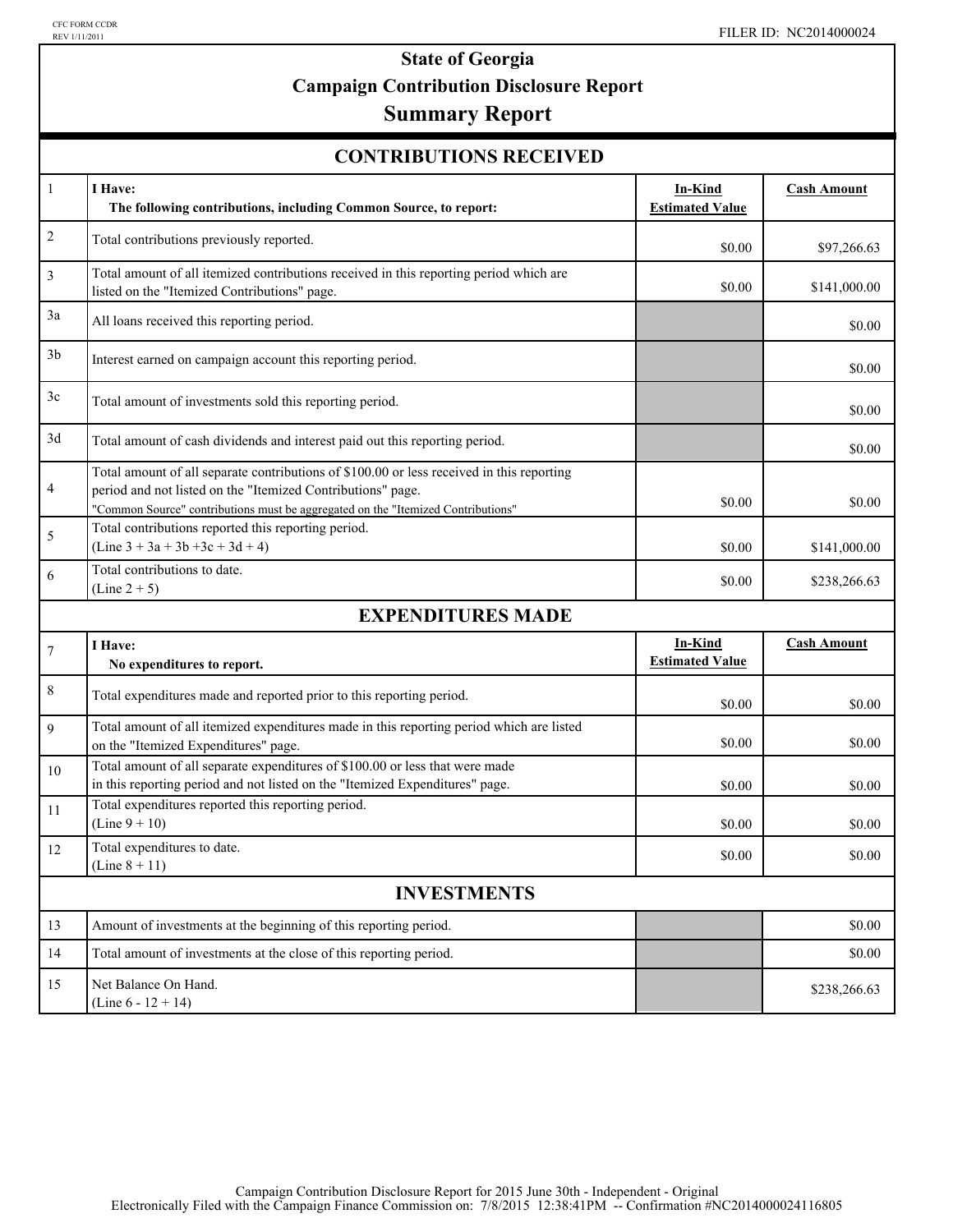# **State of Georgia Campaign Contribution Disclosure Report**

## **Summary Report**

| <b>CONTRIBUTIONS RECEIVED</b> |  |
|-------------------------------|--|
|-------------------------------|--|

| $\mathbf{1}$       | I Have:                                                                                                                                                                                                                                      | In-Kind                           | <b>Cash Amount</b> |  |  |  |
|--------------------|----------------------------------------------------------------------------------------------------------------------------------------------------------------------------------------------------------------------------------------------|-----------------------------------|--------------------|--|--|--|
|                    | The following contributions, including Common Source, to report:                                                                                                                                                                             | <b>Estimated Value</b>            |                    |  |  |  |
| $\overline{c}$     | Total contributions previously reported.                                                                                                                                                                                                     | \$0.00                            | \$97,266.63        |  |  |  |
| 3                  | Total amount of all itemized contributions received in this reporting period which are<br>listed on the "Itemized Contributions" page.                                                                                                       | \$0.00                            | \$141,000.00       |  |  |  |
| 3a                 | All loans received this reporting period.                                                                                                                                                                                                    |                                   | \$0.00             |  |  |  |
| 3 <sub>b</sub>     | Interest earned on campaign account this reporting period.                                                                                                                                                                                   |                                   | \$0.00             |  |  |  |
| 3c                 | Total amount of investments sold this reporting period.                                                                                                                                                                                      |                                   | \$0.00             |  |  |  |
| 3d                 | Total amount of cash dividends and interest paid out this reporting period.                                                                                                                                                                  |                                   | \$0.00             |  |  |  |
| 4                  | Total amount of all separate contributions of \$100.00 or less received in this reporting<br>period and not listed on the "Itemized Contributions" page.<br>"Common Source" contributions must be aggregated on the "Itemized Contributions" | \$0.00                            | \$0.00             |  |  |  |
| 5                  | Total contributions reported this reporting period.<br>$(Line 3 + 3a + 3b + 3c + 3d + 4)$                                                                                                                                                    | \$0.00                            | \$141,000.00       |  |  |  |
| 6                  | Total contributions to date.<br>$(Line 2 + 5)$                                                                                                                                                                                               | \$0.00                            | \$238,266.63       |  |  |  |
|                    | <b>EXPENDITURES MADE</b>                                                                                                                                                                                                                     |                                   |                    |  |  |  |
| $\tau$             | I Have:<br>No expenditures to report.                                                                                                                                                                                                        | In-Kind<br><b>Estimated Value</b> | <b>Cash Amount</b> |  |  |  |
| $\,$ 8 $\,$        | Total expenditures made and reported prior to this reporting period.                                                                                                                                                                         | \$0.00                            | \$0.00             |  |  |  |
| 9                  | Total amount of all itemized expenditures made in this reporting period which are listed<br>on the "Itemized Expenditures" page.                                                                                                             | \$0.00                            | \$0.00             |  |  |  |
| 10                 | Total amount of all separate expenditures of \$100.00 or less that were made<br>in this reporting period and not listed on the "Itemized Expenditures" page.                                                                                 | \$0.00                            | \$0.00             |  |  |  |
| 11                 | Total expenditures reported this reporting period.<br>$(Line 9 + 10)$                                                                                                                                                                        | \$0.00                            | \$0.00             |  |  |  |
| 12                 | Total expenditures to date.<br>(Line $8 + 11$ )                                                                                                                                                                                              | \$0.00                            | \$0.00             |  |  |  |
| <b>INVESTMENTS</b> |                                                                                                                                                                                                                                              |                                   |                    |  |  |  |
| 13                 | Amount of investments at the beginning of this reporting period.                                                                                                                                                                             |                                   | \$0.00             |  |  |  |
| 14                 | Total amount of investments at the close of this reporting period.                                                                                                                                                                           |                                   | \$0.00             |  |  |  |
| 15                 | Net Balance On Hand.<br>(Line $6 - 12 + 14$ )                                                                                                                                                                                                |                                   | \$238,266.63       |  |  |  |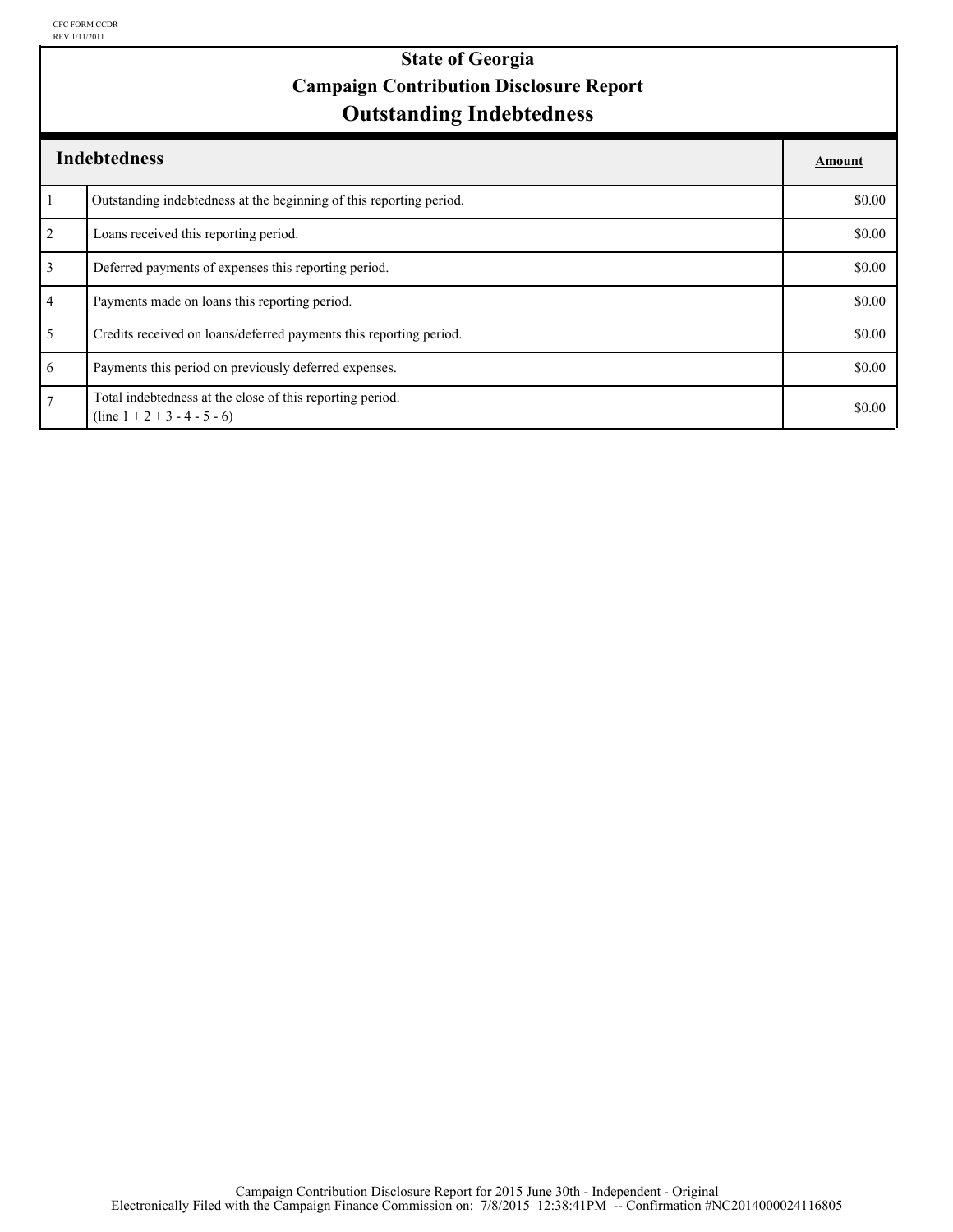### **Outstanding Indebtedness State of Georgia Campaign Contribution Disclosure Report**

| <b>Indebtedness</b> |                                                                                             |        |
|---------------------|---------------------------------------------------------------------------------------------|--------|
|                     | Outstanding indebtedness at the beginning of this reporting period.                         | \$0.00 |
| $\overline{2}$      | Loans received this reporting period.                                                       | \$0.00 |
| $\overline{3}$      | Deferred payments of expenses this reporting period.                                        | \$0.00 |
| $\overline{4}$      | Payments made on loans this reporting period.                                               | \$0.00 |
| 5                   | Credits received on loans/deferred payments this reporting period.                          | \$0.00 |
| 6                   | Payments this period on previously deferred expenses.                                       | \$0.00 |
| $\overline{7}$      | Total indebtedness at the close of this reporting period.<br>$(line 1 + 2 + 3 - 4 - 5 - 6)$ | \$0.00 |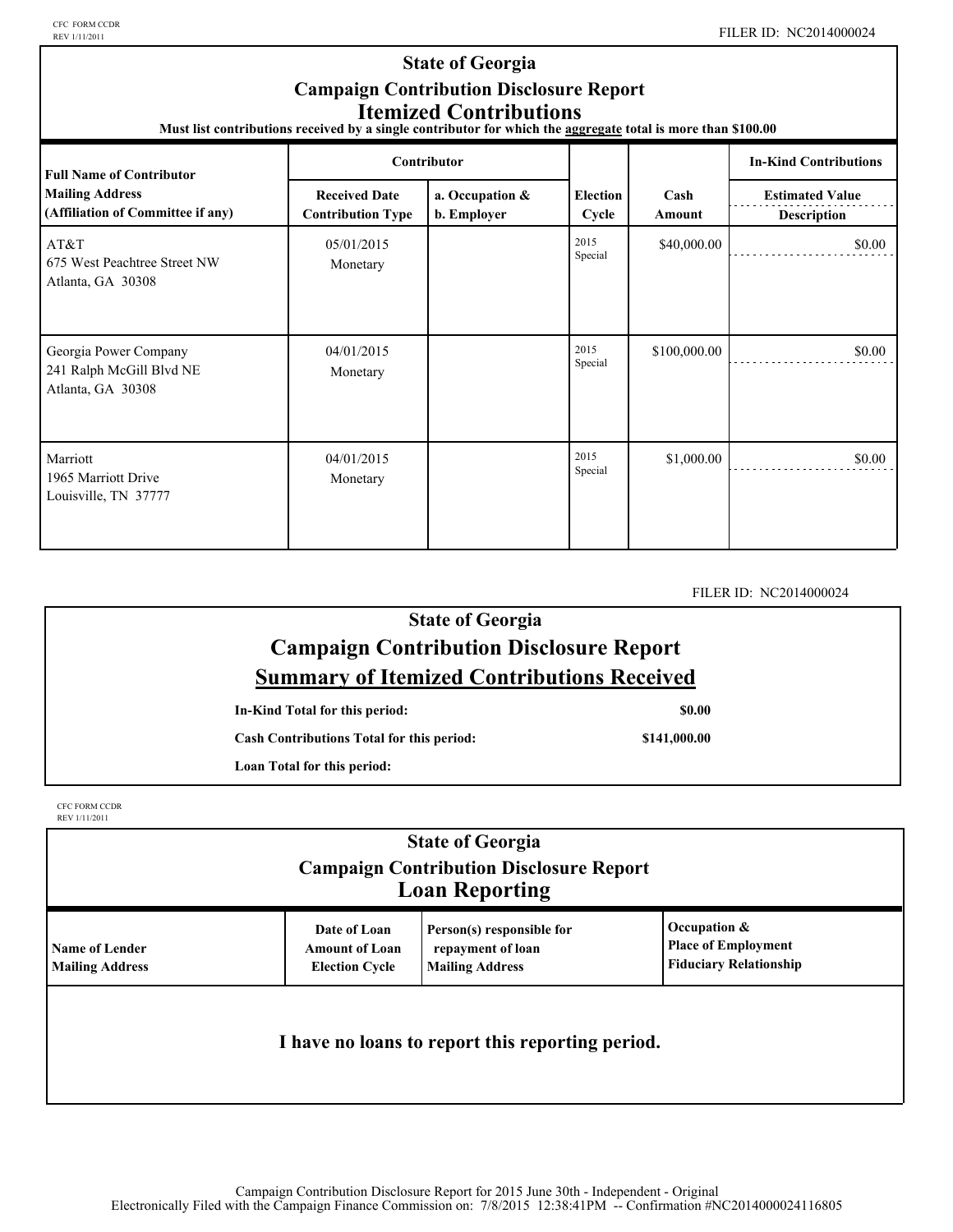CFC FORM CCDR<br>REV 1/11/2011

#### **State of Georgia Campaign Contribution Disclosure Report Itemized Contributions**

**Must list contributions received by a single contributor for which the aggregate total is more than \$100.00** 

| <b>Full Name of Contributor</b>                                        | Contributor                                      |                                |                          |                | <b>In-Kind Contributions</b>                 |
|------------------------------------------------------------------------|--------------------------------------------------|--------------------------------|--------------------------|----------------|----------------------------------------------|
| <b>Mailing Address</b><br>(Affiliation of Committee if any)            | <b>Received Date</b><br><b>Contribution Type</b> | a. Occupation &<br>b. Employer | <b>Election</b><br>Cycle | Cash<br>Amount | <b>Estimated Value</b><br><b>Description</b> |
| AT&T<br>675 West Peachtree Street NW<br>Atlanta, GA 30308              | 05/01/2015<br>Monetary                           |                                | 2015<br>Special          | \$40,000.00    | \$0.00                                       |
| Georgia Power Company<br>241 Ralph McGill Blvd NE<br>Atlanta, GA 30308 | 04/01/2015<br>Monetary                           |                                | 2015<br>Special          | \$100,000.00   | \$0.00                                       |
| Marriott<br>1965 Marriott Drive<br>Louisville, TN 37777                | 04/01/2015<br>Monetary                           |                                | 2015<br>Special          | \$1,000.00     | \$0.00                                       |

FILER ID: NC2014000024

#### **State of Georgia Campaign Contribution Disclosure Report Summary of Itemized Contributions Received**

**In-Kind Total for this period:**

**Cash Contributions Total for this period:**

**\$0.00**

**\$141,000.00**

**Loan Total for this period:**

CFC FORM CCDR REV 1/11/2011

| <b>State of Georgia</b><br><b>Campaign Contribution Disclosure Report</b><br><b>Loan Reporting</b> |                                                                |                                                                          |                                                                             |  |
|----------------------------------------------------------------------------------------------------|----------------------------------------------------------------|--------------------------------------------------------------------------|-----------------------------------------------------------------------------|--|
| <b>Name of Lender</b><br><b>Mailing Address</b>                                                    | Date of Loan<br><b>Amount of Loan</b><br><b>Election Cycle</b> | Person(s) responsible for<br>repayment of loan<br><b>Mailing Address</b> | Occupation &<br><b>Place of Employment</b><br><b>Fiduciary Relationship</b> |  |
| I have no loans to report this reporting period.                                                   |                                                                |                                                                          |                                                                             |  |